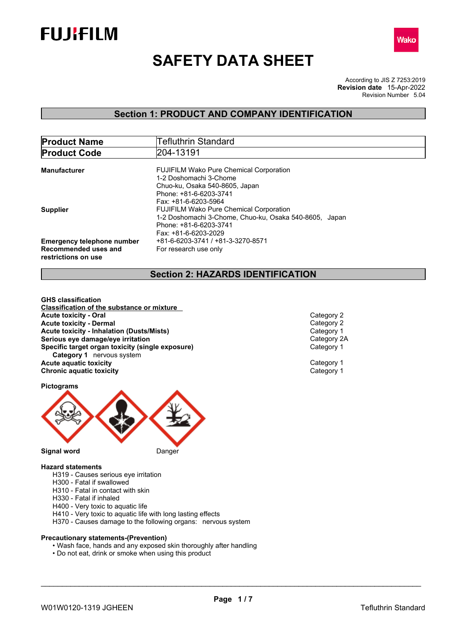



# **SAFETY DATA SHEET**

According to JIS Z 7253:2019 Revision Number 5.04 **Revision date** 15-Apr-2022

## **Section 1: PRODUCT AND COMPANY IDENTIFICATION**

| <b>Product Name</b>               | <b>Tefluthrin Standard</b>                             |
|-----------------------------------|--------------------------------------------------------|
| <b>Product Code</b>               | 204-13191                                              |
|                                   |                                                        |
| Manufacturer                      | <b>FUJIFILM Wako Pure Chemical Corporation</b>         |
|                                   | 1-2 Doshomachi 3-Chome                                 |
|                                   | Chuo-ku, Osaka 540-8605, Japan                         |
|                                   | Phone: +81-6-6203-3741                                 |
|                                   | Fax: +81-6-6203-5964                                   |
| <b>Supplier</b>                   | <b>FUJIFILM Wako Pure Chemical Corporation</b>         |
|                                   | 1-2 Doshomachi 3-Chome, Chuo-ku, Osaka 540-8605, Japan |
|                                   | Phone: +81-6-6203-3741                                 |
|                                   | Fax: +81-6-6203-2029                                   |
| <b>Emergency telephone number</b> | +81-6-6203-3741 / +81-3-3270-8571                      |
| Recommended uses and              | For research use only                                  |
| restrictions on use               |                                                        |
|                                   |                                                        |

## **Section 2: HAZARDS IDENTIFICATION**

**GHS classification Classification of the substance or mixture Acute toxicity - Oral Category 2**<br> **Acute toxicity - Dermal** Category 2 **Acute toxicity - Dermal** Category 2 **Acute toxicity - Inhalation (Dusts/Mists)**<br> **Serious eye damage/eye irritation**<br>
Category 2A **Serious eye damage/eye irritation**<br> **Specific target organ toxicity (single exposure)**<br>
Category 1 **Specific target organ toxicity (single exposure) Category 1** nervous system **Acute aquatic toxicity**<br> **Category 1**<br> **Chronic aquatic toxicity**<br> **Category 1 Chronic aquatic toxicity** 

## **Pictograms**



#### **Signal word** Danger

#### **Hazard statements**

- H319 Causes serious eye irritation
- H300 Fatal if swallowed
- H310 Fatal in contact with skin
- H330 Fatal if inhaled
- H400 Very toxic to aquatic life
- H410 Very toxic to aquatic life with long lasting effects
- H370 Causes damage to the following organs: nervous system

## **Precautionary statements-(Prevention)**

- Wash face, hands and any exposed skin thoroughly after handling
- Do not eat, drink or smoke when using this product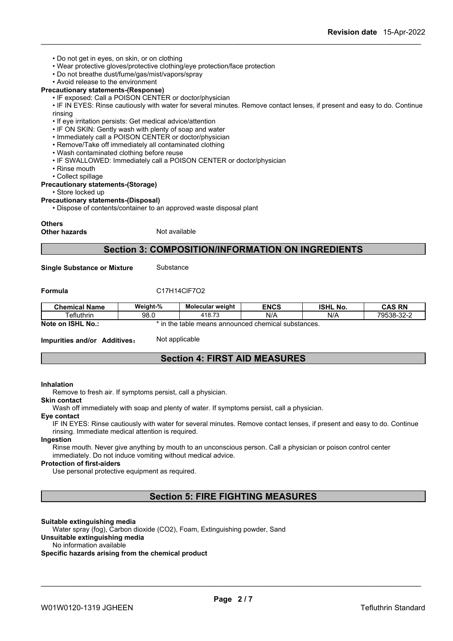- Do not get in eyes, on skin, or on clothing
- Wear protective gloves/protective clothing/eye protection/face protection
- Do not breathe dust/fume/gas/mist/vapors/spray
- Avoid release to the environment
- **Precautionary statements-(Response)**
	- IF exposed: Call a POISON CENTER or doctor/physician

• IF IN EYES: Rinse cautiously with water for several minutes. Remove contact lenses, if present and easy to do. Continue rinsing

- If eye irritation persists: Get medical advice/attention
- IF ON SKIN: Gently wash with plenty of soap and water
- Immediately call a POISON CENTER or doctor/physician
- Remove/Take off immediately all contaminated clothing
- Wash contaminated clothing before reuse
- IF SWALLOWED: Immediately call a POISON CENTER or doctor/physician
- Rinse mouth
- Collect spillage

#### **Precautionary statements-(Storage)**

• Store locked up

#### **Precautionary statements-(Disposal)**

• Dispose of contents/container to an approved waste disposal plant

#### **Others**

**Other hazards** Not available

## **Section 3: COMPOSITION/INFORMATION ON INGREDIENTS**

**Single Substance or Mixture** Substance

**Formula** C17H14ClF7O2

| <b>Chemical Name</b>        | Weight-% | Molecular weight         | <b>ENCS</b>            | <b>ISHL</b><br>No. | <b>CAS RN</b> |
|-----------------------------|----------|--------------------------|------------------------|--------------------|---------------|
| Tefluthrin                  | 98.0     | 418.73                   | N/A                    | N/A                | 79538-32-2    |
| <b>ISHL No.:</b><br>Note on | in the   | announced<br>table means | d chemical substances. |                    |               |

**Impurities and/or Additives:** Not applicable

## **Section 4: FIRST AID MEASURES**

#### **Inhalation**

Remove to fresh air. If symptoms persist, call a physician.

**Skin contact**

Wash off immediately with soap and plenty of water. If symptoms persist, call a physician.

#### **Eye contact**

IF IN EYES: Rinse cautiously with water for several minutes. Remove contact lenses, if present and easy to do. Continue rinsing. Immediate medical attention is required.

#### **Ingestion**

Rinse mouth. Never give anything by mouth to an unconscious person. Call a physician or poison control center immediately. Do not induce vomiting without medical advice.

#### **Protection of first-aiders**

Use personal protective equipment as required.

## **Section 5: FIRE FIGHTING MEASURES**

#### **Suitable extinguishing media**

Water spray (fog), Carbon dioxide (CO2), Foam, Extinguishing powder, Sand

#### **Unsuitable extinguishing media**

No information available

#### **Specific hazards arising from the chemical product**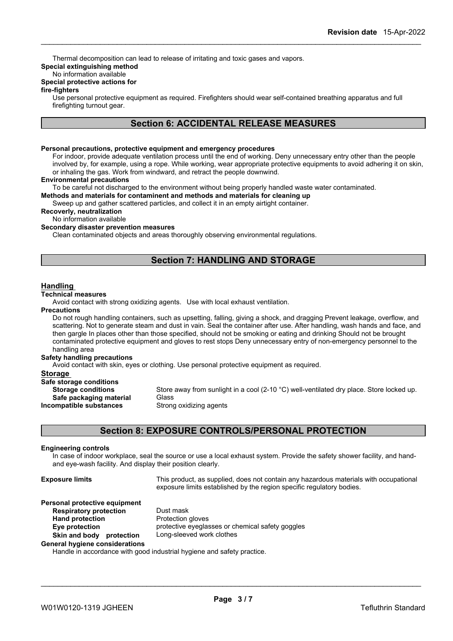Thermal decomposition can lead to release of irritating and toxic gases and vapors.

## **Special extinguishing method**

#### No information available

## **Special protective actions for**

#### **fire-fighters**

Use personal protective equipment as required.Firefighters should wear self-contained breathing apparatus and full firefighting turnout gear.

## **Section 6: ACCIDENTAL RELEASE MEASURES**

#### **Personal precautions, protective equipment and emergency procedures**

For indoor, provide adequate ventilation process until the end of working. Deny unnecessary entry other than the people involved by, for example, using a rope. While working, wear appropriate protective equipments to avoid adhering it on skin, or inhaling the gas. Work from windward, and retract the people downwind.

#### **Environmental precautions**

To be careful not discharged to the environment without being properly handled waste water contaminated.

**Methods and materials for contaminent and methods and materials for cleaning up**

Sweep up and gather scattered particles, and collect it in an empty airtight container.

**Recoverly, neutralization**

## No information available

### **Secondary disaster prevention measures**

Clean contaminated objects and areas thoroughly observing environmental regulations.

## **Section 7: HANDLING AND STORAGE**

#### **Handling**

#### **Technical measures**

Avoid contact with strong oxidizing agents. Use with local exhaust ventilation.

#### **Precautions**

Do not rough handling containers, such as upsetting, falling, giving a shock, and dragging Prevent leakage, overflow, and scattering. Not to generate steam and dust in vain. Seal the container after use. After handling, wash hands and face, and then gargle In places other than those specified, should not be smoking or eating and drinking Should not be brought contaminated protective equipment and gloves to rest stops Deny unnecessary entry of non-emergency personnel to the handling area

#### **Safety handling precautions**

Avoid contact with skin, eyes or clothing. Use personal protective equipment as required.

#### **Storage**

| Safe storage conditions   |             |
|---------------------------|-------------|
| <b>Storage conditions</b> | Store away  |
| Safe packaging material   | Glass       |
| Incompatible substances   | Strong oxid |

Store away from sunlight in a cool (2-10 °C) well-ventilated dry place. Store locked up. **Safe packaging material** Glass

**Strong oxidizing agents** 

## **Section 8: EXPOSURE CONTROLS/PERSONAL PROTECTION**

#### **Engineering controls**

In case of indoor workplace, seal the source or use a local exhaust system. Provide the safety shower facility, and handand eye-wash facility. And display their position clearly.

**Exposure limits** This product, as supplied, does not contain any hazardous materials with occupational exposure limits established by the region specific regulatory bodies.

\_\_\_\_\_\_\_\_\_\_\_\_\_\_\_\_\_\_\_\_\_\_\_\_\_\_\_\_\_\_\_\_\_\_\_\_\_\_\_\_\_\_\_\_\_\_\_\_\_\_\_\_\_\_\_\_\_\_\_\_\_\_\_\_\_\_\_\_\_\_\_\_\_\_\_\_\_\_\_\_\_\_\_\_\_\_\_\_\_\_

## **Personal protective equipment Respiratory protection** Dust mask

**Hand protection** Protection gloves **Eye protection** protective eyeglasses or chemical safety goggles **Skin and body protection** Long-sleeved work clothes

**General hygiene considerations** Handle in accordance with good industrial hygiene and safety practice.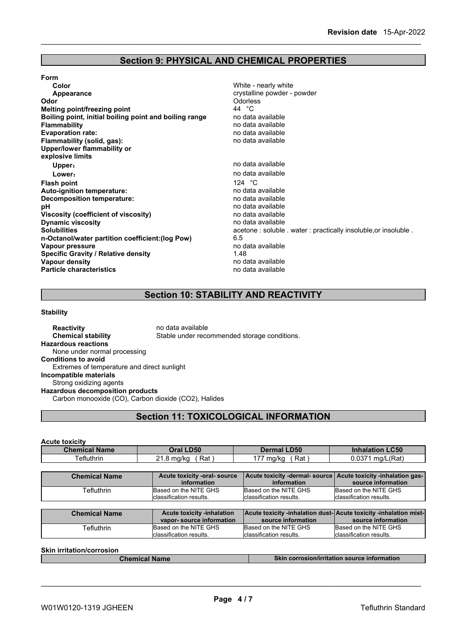## **Section 9: PHYSICAL AND CHEMICAL PROPERTIES**

| <b>Form</b>                                            |                                                                |
|--------------------------------------------------------|----------------------------------------------------------------|
| Color                                                  | White - nearly white                                           |
| Appearance                                             | crystalline powder - powder                                    |
| Odor                                                   | <b>Odorless</b>                                                |
| Melting point/freezing point                           | 44 °C                                                          |
| Boiling point, initial boiling point and boiling range | no data available                                              |
| <b>Flammability</b>                                    | no data available                                              |
| <b>Evaporation rate:</b>                               | no data available                                              |
| Flammability (solid, gas):                             | no data available                                              |
| Upper/lower flammability or                            |                                                                |
| explosive limits                                       |                                                                |
| Upper:                                                 | no data available                                              |
| Lower:                                                 | no data available                                              |
| <b>Flash point</b>                                     | 124 $^{\circ}$ C                                               |
| Auto-ignition temperature:                             | no data available                                              |
| Decomposition temperature:                             | no data available                                              |
| рH                                                     | no data available                                              |
| Viscosity (coefficient of viscosity)                   | no data available                                              |
| <b>Dynamic viscosity</b>                               | no data available                                              |
| <b>Solubilities</b>                                    | acetone: soluble . water: practically insoluble, or insoluble. |
| n-Octanol/water partition coefficient: (log Pow)       | 6.5                                                            |
| Vapour pressure                                        | no data available                                              |
| <b>Specific Gravity / Relative density</b>             | 1.48                                                           |
| Vapour density                                         | no data available                                              |
| <b>Particle characteristics</b>                        | no data available                                              |
|                                                        |                                                                |

## **Section 10: STABILITY AND REACTIVITY**

#### **Stability**

**Reactivity** no data available<br> **Chemical stability** Stable under reco Stable under recommended storage conditions. **Hazardous reactions** None under normal processing **Conditions to avoid** Extremes of temperature and direct sunlight **Incompatible materials** Strong oxidizing agents **Hazardous decomposition products** Carbon monooxide (CO), Carbon dioxide (CO2), Halides

## **Section 11: TOXICOLOGICAL INFORMATION**

#### **Acute toxicity**

| <b>Chemical Name</b> | Oral LD50                                   | <b>Dermal LD50</b>      | <b>Inhalation LC50</b>                                                                |
|----------------------|---------------------------------------------|-------------------------|---------------------------------------------------------------------------------------|
| Tefluthrin           | $21.8$ mg/kg<br>Rat )                       | 177 mg/kg<br>Rat)       | $0.0371$ mg/L(Rat)                                                                    |
|                      |                                             |                         |                                                                                       |
| <b>Chemical Name</b> | Acute toxicity -oral- source<br>information | information             | Acute toxicity -dermal-source   Acute toxicity -inhalation gas-<br>source information |
| Tefluthrin           | Based on the NITE GHS                       | Based on the NITE GHS   | Based on the NITE GHS                                                                 |
|                      | classification results.                     | classification results. | classification results.                                                               |
|                      |                                             |                         |                                                                                       |
| <b>Chemical Name</b> | <b>Acute toxicity -inhalation</b>           |                         | Acute toxicity -inhalation dust- Acute toxicity -inhalation mist-                     |
|                      | vapor-source information                    | source information      | source information                                                                    |
| Tefluthrin           | Based on the NITE GHS                       | Based on the NITE GHS   | Based on the NITE GHS                                                                 |
|                      | classification results.                     | classification results. | classification results.                                                               |

#### **Skin irritation/corrosion Chemical Name Skin corrosion/irritation** source information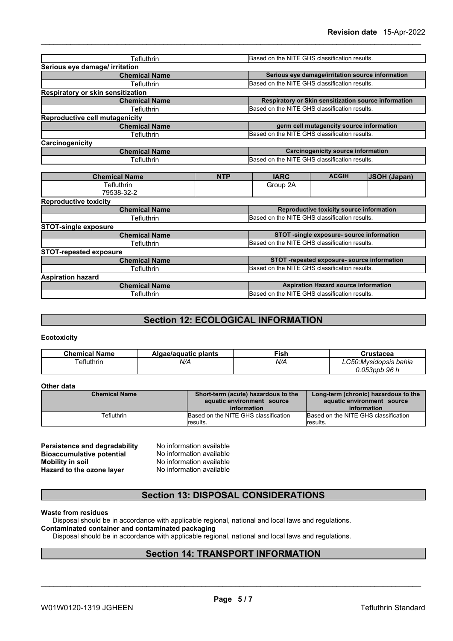| <b>Tefluthrin</b>                 | Based on the NITE GHS classification results.        |  |
|-----------------------------------|------------------------------------------------------|--|
| Serious eye damage/ irritation    |                                                      |  |
| <b>Chemical Name</b>              | Serious eye damage/irritation source information     |  |
| Tefluthrin                        | Based on the NITE GHS classification results.        |  |
| Respiratory or skin sensitization |                                                      |  |
| <b>Chemical Name</b>              | Respiratory or Skin sensitization source information |  |
| Tefluthrin                        | Based on the NITE GHS classification results.        |  |
| Reproductive cell mutagenicity    |                                                      |  |
| <b>Chemical Name</b>              | germ cell mutagencity source information             |  |
| Tefluthrin                        | Based on the NITE GHS classification results.        |  |
| Carcinogenicity                   |                                                      |  |
| <b>Chemical Name</b>              | <b>Carcinogenicity source information</b>            |  |
| Tefluthrin                        | Based on the NITE GHS classification results.        |  |

| Tefluthrin<br>Group 2A<br>79538-32-2<br>Reproductive toxicity source information<br><b>Chemical Name</b><br>Based on the NITE GHS classification results.<br>Tefluthrin<br>STOT -single exposure- source information<br><b>Chemical Name</b><br>Based on the NITE GHS classification results.<br>Tefluthrin<br>STOT -repeated exposure- source information<br><b>Chemical Name</b> | <b>Chemical Name</b>          | <b>NTP</b> | <b>IARC</b>                                   | <b>ACGIH</b> | <b>JSOH (Japan)</b> |  |
|------------------------------------------------------------------------------------------------------------------------------------------------------------------------------------------------------------------------------------------------------------------------------------------------------------------------------------------------------------------------------------|-------------------------------|------------|-----------------------------------------------|--------------|---------------------|--|
|                                                                                                                                                                                                                                                                                                                                                                                    |                               |            |                                               |              |                     |  |
|                                                                                                                                                                                                                                                                                                                                                                                    |                               |            |                                               |              |                     |  |
|                                                                                                                                                                                                                                                                                                                                                                                    | <b>Reproductive toxicity</b>  |            |                                               |              |                     |  |
|                                                                                                                                                                                                                                                                                                                                                                                    |                               |            |                                               |              |                     |  |
|                                                                                                                                                                                                                                                                                                                                                                                    |                               |            |                                               |              |                     |  |
|                                                                                                                                                                                                                                                                                                                                                                                    | <b>STOT-single exposure</b>   |            |                                               |              |                     |  |
|                                                                                                                                                                                                                                                                                                                                                                                    |                               |            |                                               |              |                     |  |
|                                                                                                                                                                                                                                                                                                                                                                                    |                               |            |                                               |              |                     |  |
|                                                                                                                                                                                                                                                                                                                                                                                    | <b>STOT-repeated exposure</b> |            |                                               |              |                     |  |
|                                                                                                                                                                                                                                                                                                                                                                                    |                               |            |                                               |              |                     |  |
|                                                                                                                                                                                                                                                                                                                                                                                    | Tefluthrin                    |            | Based on the NITE GHS classification results. |              |                     |  |
|                                                                                                                                                                                                                                                                                                                                                                                    | <b>Aspiration hazard</b>      |            |                                               |              |                     |  |
| <b>Aspiration Hazard source information</b><br><b>Chemical Name</b>                                                                                                                                                                                                                                                                                                                |                               |            |                                               |              |                     |  |
| Based on the NITE GHS classification results.<br>Tefluthrin                                                                                                                                                                                                                                                                                                                        |                               |            |                                               |              |                     |  |

## **Section 12: ECOLOGICAL INFORMATION**

#### **Ecotoxicity**

| <b>Chemical Name</b> | Igae/aguatic plants | Fish | en etacoa:<br>uco              |
|----------------------|---------------------|------|--------------------------------|
| $T$ efluthrin        | N/A                 | N/A  | :Mysidopsıs bahıa              |
|                      |                     |      | AB2nnh<br><b>QR</b><br>. . ت ۱ |

#### **Other data**

| <b>Chemical Name</b> | Short-term (acute) hazardous to the<br>aquatic environment source<br>information | Long-term (chronic) hazardous to the<br>aquatic environment source<br>information |
|----------------------|----------------------------------------------------------------------------------|-----------------------------------------------------------------------------------|
| <b>Tefluthrin</b>    | Based on the NITE GHS classification                                             | Based on the NITE GHS classification                                              |
|                      | lresults.                                                                        | lresults.                                                                         |

| <b>Persistence and degradability</b> | No infor |
|--------------------------------------|----------|
| <b>Bioaccumulative potential</b>     | No infor |
| <b>Mobility in soil</b>              | No infor |
| Hazard to the ozone layer            | No infor |

**Presistence and read a mation available mation** available **Hazard to the ozone layer** No information available

## **Section 13: DISPOSAL CONSIDERATIONS**

#### **Waste from residues**

Disposal should be in accordance with applicable regional, national and local laws and regulations.

## **Contaminated container and contaminated packaging**

Disposal should be in accordance with applicable regional, national and local laws and regulations.

## **Section 14: TRANSPORT INFORMATION**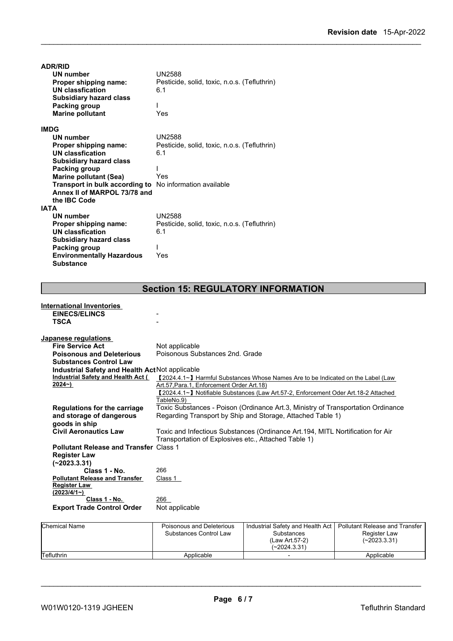| <b>ADR/RID</b>                                                 |                                                     |
|----------------------------------------------------------------|-----------------------------------------------------|
| UN number                                                      | <b>UN2588</b>                                       |
| Proper shipping name:                                          | Pesticide, solid, toxic, n.o.s. (Tefluthrin)        |
| <b>UN classfication</b>                                        | 6.1                                                 |
| <b>Subsidiary hazard class</b>                                 |                                                     |
| Packing group                                                  |                                                     |
| <b>Marine pollutant</b>                                        | Yes                                                 |
| <b>IMDG</b>                                                    |                                                     |
| <b>UN number</b>                                               | <b>UN2588</b>                                       |
|                                                                |                                                     |
| Proper shipping name:                                          | Pesticide, solid, toxic, n.o.s. (Tefluthrin)<br>6.1 |
| <b>UN classfication</b>                                        |                                                     |
| <b>Subsidiary hazard class</b>                                 |                                                     |
| Packing group                                                  |                                                     |
| <b>Marine pollutant (Sea)</b>                                  | Yes                                                 |
| <b>Transport in bulk according to</b> No information available |                                                     |
| Annex II of MARPOL 73/78 and                                   |                                                     |
| the IBC Code                                                   |                                                     |
| <b>IATA</b>                                                    |                                                     |
| UN number                                                      | <b>UN2588</b>                                       |
| Proper shipping name:                                          | Pesticide, solid, toxic, n.o.s. (Tefluthrin)        |
| <b>UN classfication</b>                                        | 6.1                                                 |
| <b>Subsidiary hazard class</b>                                 |                                                     |
| Packing group                                                  |                                                     |
| <b>Environmentally Hazardous</b>                               | Yes                                                 |
| <b>Substance</b>                                               |                                                     |

## **Section 15: REGULATORY INFORMATION**

| <b>International Inventories</b>                |                                                                                     |
|-------------------------------------------------|-------------------------------------------------------------------------------------|
| <b>EINECS/ELINCS</b>                            |                                                                                     |
| <b>TSCA</b>                                     |                                                                                     |
|                                                 |                                                                                     |
| Japanese regulations                            |                                                                                     |
| <b>Fire Service Act</b>                         | Not applicable                                                                      |
| <b>Poisonous and Deleterious</b>                | Poisonous Substances 2nd, Grade                                                     |
| <b>Substances Control Law</b>                   |                                                                                     |
| Industrial Safety and Health Act Not applicable |                                                                                     |
| Industrial Safety and Health Act (              | 【2024.4.1∼】 Harmful Substances Whose Names Are to be Indicated on the Label (Law    |
| $2024 - )$                                      | Art.57, Para.1, Enforcement Order Art.18)                                           |
|                                                 | 【2024.4.1~】 Notifiable Substances (Law Art.57-2, Enforcement Oder Art.18-2 Attached |
|                                                 | TableNo.9)                                                                          |
| <b>Regulations for the carriage</b>             | Toxic Substances - Poison (Ordinance Art.3, Ministry of Transportation Ordinance    |
| and storage of dangerous                        | Regarding Transport by Ship and Storage, Attached Table 1)                          |
| goods in ship                                   |                                                                                     |
| <b>Civil Aeronautics Law</b>                    | Toxic and Infectious Substances (Ordinance Art.194, MITL Nortification for Air      |
|                                                 | Transportation of Explosives etc., Attached Table 1)                                |
| <b>Pollutant Release and Transfer Class 1</b>   |                                                                                     |
| <b>Register Law</b>                             |                                                                                     |
| $(-2023.3.31)$                                  |                                                                                     |
| Class 1 - No.                                   | 266                                                                                 |
| <b>Pollutant Release and Transfer</b>           | Class 1                                                                             |
| <b>Register Law</b>                             |                                                                                     |
| $(2023/4/1-)$                                   |                                                                                     |
| Class 1 - No.                                   | 266                                                                                 |
| <b>Export Trade Control Order</b>               | Not applicable                                                                      |
|                                                 |                                                                                     |
|                                                 |                                                                                     |

| Chemical Name | Poisonous and Deleterious<br>Substances Control Law | Industrial Safety and Health Act   Pollutant Release and Transfer<br><b>Substances</b><br>(Law Art.57-2)<br>$(-2024.3.31)$ | Register Law<br>$(-2023.3.31)$ |  |
|---------------|-----------------------------------------------------|----------------------------------------------------------------------------------------------------------------------------|--------------------------------|--|
| Tefluthrin    | Applicable                                          |                                                                                                                            | Applicable                     |  |